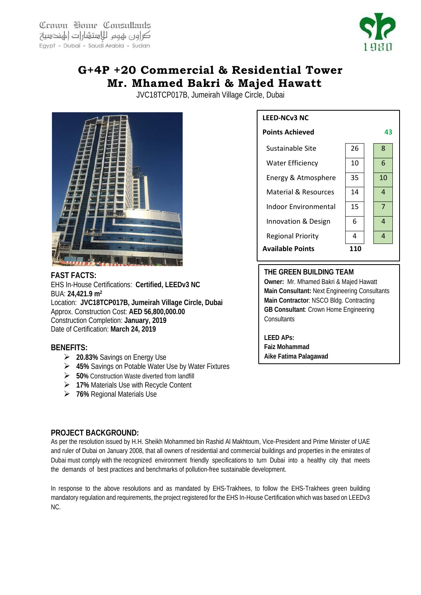Crown Home Consultants كراون لهوم للاستشارات الهندسية Egypt - Dubai - Saudi Arabia - Sudan



## **G+4P +20 Commercial & Residential Tower Mr. Mhamed Bakri & Majed Hawatt**

JVC18TCP017B, Jumeirah Village Circle, Dubai



**FAST FACTS:** EHS In-House Certifications: **Certified, LEEDv3 NC**  BUA: **24,421.9 m2** Location: **JVC18TCP017B, Jumeirah Village Circle, Dubai** Approx. Construction Cost: **AED 56,800,000.00** Construction Completion: **January, 2019** Date of Certification: **March 24, 2019**

## **BENEFITS:**

- **20.83%** Savings on Energy Use
- **45%** Savings on Potable Water Use by Water Fixtures
- **50%** Construction Waste diverted from landfill
- **17%** Materials Use with Recycle Content
- **76%** Regional Materials Use

## **PROJECT BACKGROUND:**

As per the resolution issued by H.H. Sheikh Mohammed bin Rashid Al Makhtoum, Vice-President and Prime Minister of UAE and ruler of Dubai on January 2008, that all owners of residential and commercial buildings and properties in the emirates of Dubai must comply with the recognized environment friendly specifications to turn Dubai into a healthy city that meets the demands of best practices and benchmarks of pollution-free sustainable development.

In response to the above resolutions and as mandated by EHS-Trakhees, to follow the EHS-Trakhees green building mandatory regulation and requirements, the project registered for the EHS In-House Certification which was based on LEEDv3 NC.



## **THE GREEN BUILDING TEAM**

**Owner:** Mr. Mhamed Bakri & Majed Hawatt **Main Consultant:** Next Engineering Consultants **Main Contractor**: NSCO Bldg. Contracting **GB Consultant**: Crown Home Engineering **Consultants** 

**LEED APs: Faiz Mohammad Aike Fatima Palagawad**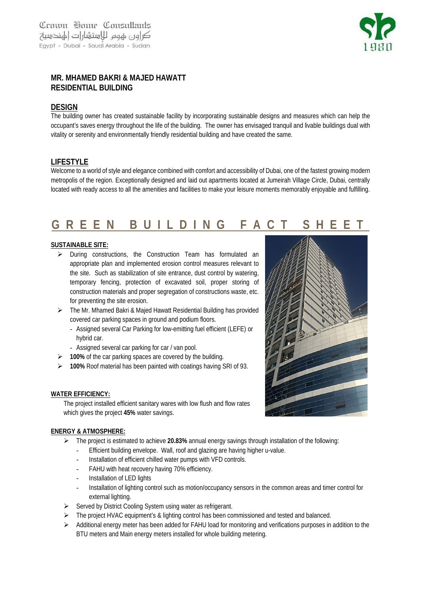

## **MR. MHAMED BAKRI & MAJED HAWATT RESIDENTIAL BUILDING**

## **DESIGN**

The building owner has created sustainable facility by incorporating sustainable designs and measures which can help the occupant's saves energy throughout the life of the building. The owner has envisaged tranquil and livable buildings dual with vitality or serenity and environmentally friendly residential building and have created the same.

## **LIFESTYLE**

Welcome to a world of style and elegance combined with comfort and accessibility of Dubai, one of the fastest growing modern metropolis of the region. Exceptionally designed and laid out apartments located at Jumeirah Village Circle, Dubai, centrally located with ready access to all the amenities and facilities to make your leisure moments memorably enjoyable and fulfilling.

# **GREEN BUILDING FACT SHEET**

### **SUSTAINABLE SITE:**

- > During constructions, the Construction Team has formulated an appropriate plan and implemented erosion control measures relevant to the site. Such as stabilization of site entrance, dust control by watering, temporary fencing, protection of excavated soil, proper storing of construction materials and proper segregation of constructions waste, etc. for preventing the site erosion.
- The Mr. Mhamed Bakri & Majed Hawatt Residential Building has provided covered car parking spaces in ground and podium floors.
	- Assigned several Car Parking for low-emitting fuel efficient (LEFE) or hybrid car.
	- Assigned several car parking for car / van pool.
- **100%** of the car parking spaces are covered by the building.
- **100%** Roof material has been painted with coatings having SRI of 93.

### **WATER EFFICIENCY:**

The project installed efficient sanitary wares with low flush and flow rates which gives the project **45%** water savings.

### **ENERGY & ATMOSPHERE:**

- The project is estimated to achieve **20.83%** annual energy savings through installation of the following:
	- Efficient building envelope. Wall, roof and glazing are having higher u-value.
	- Installation of efficient chilled water pumps with VFD controls.
	- FAHU with heat recovery having 70% efficiency.
	- Installation of LED lights
	- Installation of lighting control such as motion/occupancy sensors in the common areas and timer control for external lighting.
- $\triangleright$  Served by District Cooling System using water as refrigerant.
- The project HVAC equipment's & lighting control has been commissioned and tested and balanced.
- Additional energy meter has been added for FAHU load for monitoring and verifications purposes in addition to the BTU meters and Main energy meters installed for whole building metering.